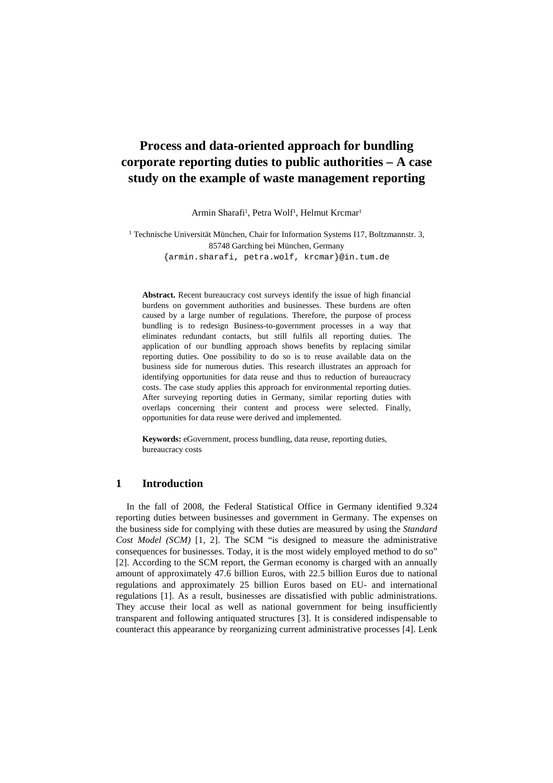Armin Sharafi<sup>1</sup>, Petra Wolf<sup>1</sup>, Helmut Krcmar<sup>1</sup>

<sup>1</sup> Technische Universität München, Chair for Information Systems I17, Boltzmannstr. 3, 85748 Garching bei München, Germany {armin.sharafi, petra.wolf, krcmar}@in.tum.de

**Abstract.** Recent bureaucracy cost surveys identify the issue of high financial burdens on government authorities and businesses. These burdens are often caused by a large number of regulations. Therefore, the purpose of process bundling is to redesign Business-to-government processes in a way that eliminates redundant contacts, but still fulfils all reporting duties. The application of our bundling approach shows benefits by replacing similar reporting duties. One possibility to do so is to reuse available data on the business side for numerous duties. This research illustrates an approach for identifying opportunities for data reuse and thus to reduction of bureaucracy costs. The case study applies this approach for environmental reporting duties. After surveying reporting duties in Germany, similar reporting duties with overlaps concerning their content and process were selected. Finally, opportunities for data reuse were derived and implemented.

**Keywords:** eGovernment, process bundling, data reuse, reporting duties, bureaucracy costs

# **1 Introduction**

In the fall of 2008, the Federal Statistical Office in Germany identified 9.324 reporting duties between businesses and government in Germany. The expenses on the business side for complying with these duties are measured by using the *Standard Cost Model (SCM)* [1, 2]. The SCM "is designed to measure the administrative consequences for businesses. Today, it is the most widely employed method to do so" [2]. According to the SCM report, the German economy is charged with an annually amount of approximately 47.6 billion Euros, with 22.5 billion Euros due to national regulations and approximately 25 billion Euros based on EU- and international regulations [1]. As a result, businesses are dissatisfied with public administrations. They accuse their local as well as national government for being insufficiently transparent and following antiquated structures [3]. It is considered indispensable to counteract this appearance by reorganizing current administrative processes [4]. Lenk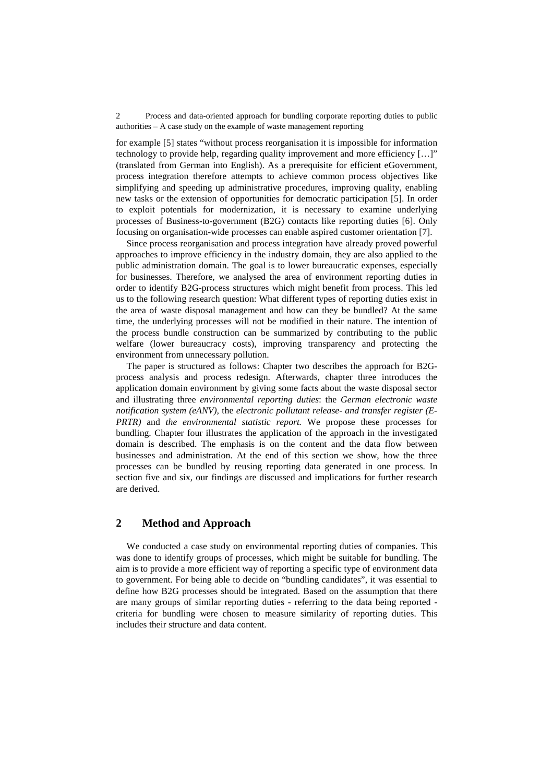for example [5] states "without process reorganisation it is impossible for information technology to provide help, regarding quality improvement and more efficiency […]" (translated from German into English). As a prerequisite for efficient eGovernment, process integration therefore attempts to achieve common process objectives like simplifying and speeding up administrative procedures, improving quality, enabling new tasks or the extension of opportunities for democratic participation [5]. In order to exploit potentials for modernization, it is necessary to examine underlying processes of Business-to-government (B2G) contacts like reporting duties [6]. Only focusing on organisation-wide processes can enable aspired customer orientation [7].

Since process reorganisation and process integration have already proved powerful approaches to improve efficiency in the industry domain, they are also applied to the public administration domain. The goal is to lower bureaucratic expenses, especially for businesses. Therefore, we analysed the area of environment reporting duties in order to identify B2G-process structures which might benefit from process. This led us to the following research question: What different types of reporting duties exist in the area of waste disposal management and how can they be bundled? At the same time, the underlying processes will not be modified in their nature. The intention of the process bundle construction can be summarized by contributing to the public welfare (lower bureaucracy costs), improving transparency and protecting the environment from unnecessary pollution.

The paper is structured as follows: Chapter two describes the approach for B2Gprocess analysis and process redesign. Afterwards, chapter three introduces the application domain environment by giving some facts about the waste disposal sector and illustrating three *environmental reporting duties*: the *German electronic waste notification system (eANV),* the *electronic pollutant release- and transfer register (E-PRTR)* and *the environmental statistic report.* We propose these processes for bundling. Chapter four illustrates the application of the approach in the investigated domain is described. The emphasis is on the content and the data flow between businesses and administration. At the end of this section we show, how the three processes can be bundled by reusing reporting data generated in one process. In section five and six, our findings are discussed and implications for further research are derived.

## **2 Method and Approach**

We conducted a case study on environmental reporting duties of companies. This was done to identify groups of processes, which might be suitable for bundling. The aim is to provide a more efficient way of reporting a specific type of environment data to government. For being able to decide on "bundling candidates", it was essential to define how B2G processes should be integrated. Based on the assumption that there are many groups of similar reporting duties - referring to the data being reported criteria for bundling were chosen to measure similarity of reporting duties. This includes their structure and data content.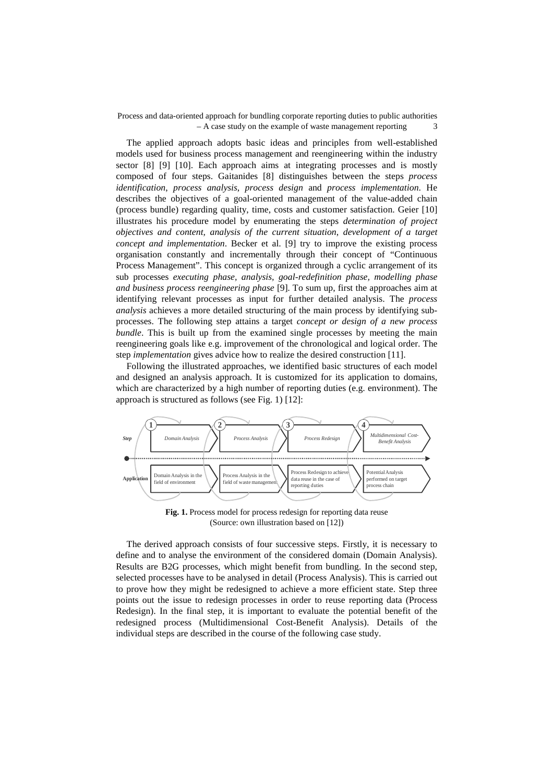The applied approach adopts basic ideas and principles from well-established models used for business process management and reengineering within the industry sector [8] [9] [10]. Each approach aims at integrating processes and is mostly composed of four steps. Gaitanides [8] distinguishes between the steps *process identification*, *process analysis*, *process design* and *process implementation*. He describes the objectives of a goal-oriented management of the value-added chain (process bundle) regarding quality, time, costs and customer satisfaction. Geier [10] illustrates his procedure model by enumerating the steps *determination of project objectives and content, analysis of the current situation*, *development of a target concept and implementation*. Becker et al. [9] try to improve the existing process organisation constantly and incrementally through their concept of "Continuous Process Management". This concept is organized through a cyclic arrangement of its sub processes *executing phase, analysis, goal-redefinition phase, modelling phase and business process reengineering phase* [9]*.* To sum up, first the approaches aim at identifying relevant processes as input for further detailed analysis. The *process analysis* achieves a more detailed structuring of the main process by identifying subprocesses. The following step attains a target *concept or design of a new process bundle*. This is built up from the examined single processes by meeting the main reengineering goals like e.g. improvement of the chronological and logical order. The step *implementation* gives advice how to realize the desired construction [11].

Following the illustrated approaches, we identified basic structures of each model and designed an analysis approach. It is customized for its application to domains*,*  which are characterized by a high number of reporting duties (e.g. environment). The approach is structured as follows (see Fig. 1) [12]:



**Fig. 1.** Process model for process redesign for reporting data reuse (Source: own illustration based on [12])

The derived approach consists of four successive steps. Firstly, it is necessary to define and to analyse the environment of the considered domain (Domain Analysis). Results are B2G processes, which might benefit from bundling. In the second step, selected processes have to be analysed in detail (Process Analysis). This is carried out to prove how they might be redesigned to achieve a more efficient state. Step three points out the issue to redesign processes in order to reuse reporting data (Process Redesign). In the final step, it is important to evaluate the potential benefit of the redesigned process (Multidimensional Cost-Benefit Analysis). Details of the individual steps are described in the course of the following case study.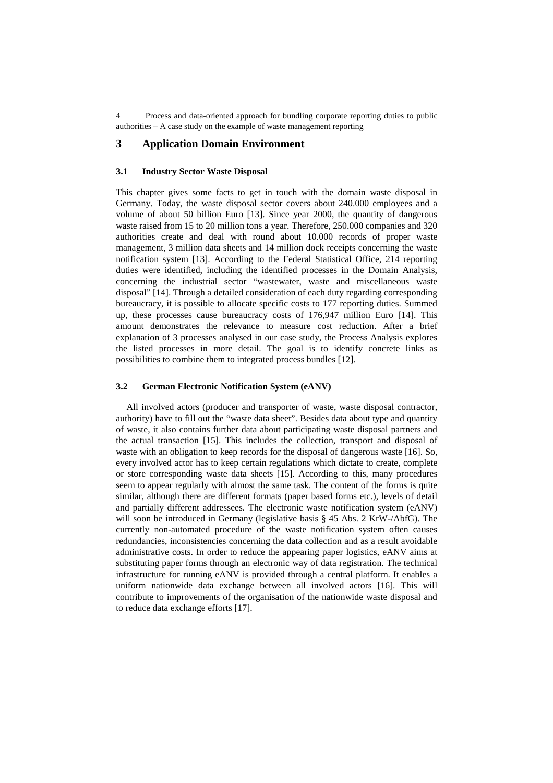### **3 Application Domain Environment**

#### **3.1 Industry Sector Waste Disposal**

This chapter gives some facts to get in touch with the domain waste disposal in Germany. Today, the waste disposal sector covers about 240.000 employees and a volume of about 50 billion Euro [13]. Since year 2000, the quantity of dangerous waste raised from 15 to 20 million tons a year. Therefore, 250.000 companies and 320 authorities create and deal with round about 10.000 records of proper waste management, 3 million data sheets and 14 million dock receipts concerning the waste notification system [13]. According to the Federal Statistical Office, 214 reporting duties were identified, including the identified processes in the Domain Analysis, concerning the industrial sector "wastewater, waste and miscellaneous waste disposal" [14]. Through a detailed consideration of each duty regarding corresponding bureaucracy, it is possible to allocate specific costs to 177 reporting duties. Summed up, these processes cause bureaucracy costs of 176,947 million Euro [14]. This amount demonstrates the relevance to measure cost reduction. After a brief explanation of 3 processes analysed in our case study, the Process Analysis explores the listed processes in more detail. The goal is to identify concrete links as possibilities to combine them to integrated process bundles [12].

#### **3.2 German Electronic Notification System (eANV)**

All involved actors (producer and transporter of waste, waste disposal contractor, authority) have to fill out the "waste data sheet". Besides data about type and quantity of waste, it also contains further data about participating waste disposal partners and the actual transaction [15]. This includes the collection, transport and disposal of waste with an obligation to keep records for the disposal of dangerous waste [16]. So, every involved actor has to keep certain regulations which dictate to create, complete or store corresponding waste data sheets [15]. According to this, many procedures seem to appear regularly with almost the same task. The content of the forms is quite similar, although there are different formats (paper based forms etc.), levels of detail and partially different addressees. The electronic waste notification system (eANV) will soon be introduced in Germany (legislative basis § 45 Abs. 2 KrW-/AbfG). The currently non-automated procedure of the waste notification system often causes redundancies, inconsistencies concerning the data collection and as a result avoidable administrative costs. In order to reduce the appearing paper logistics, eANV aims at substituting paper forms through an electronic way of data registration. The technical infrastructure for running eANV is provided through a central platform. It enables a uniform nationwide data exchange between all involved actors [16]. This will contribute to improvements of the organisation of the nationwide waste disposal and to reduce data exchange efforts [17].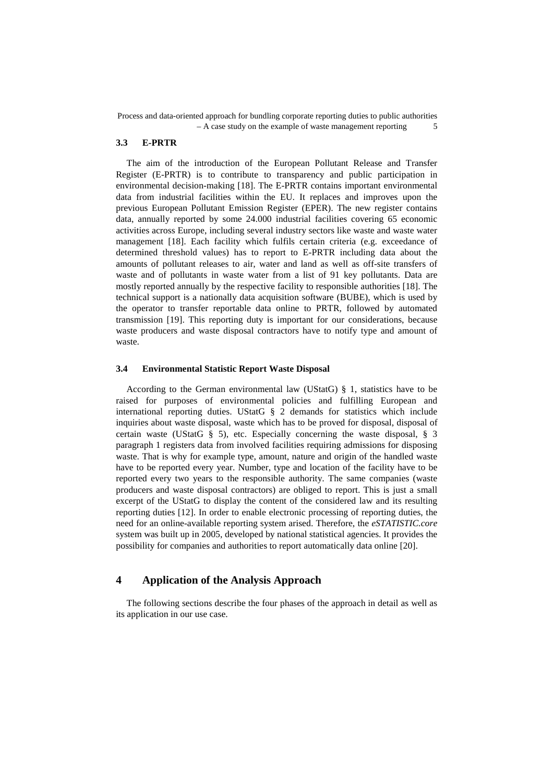### **3.3 E-PRTR**

The aim of the introduction of the European Pollutant Release and Transfer Register (E-PRTR) is to contribute to transparency and public participation in environmental decision-making [18]. The E-PRTR contains important environmental data from industrial facilities within the EU. It replaces and improves upon the previous European Pollutant Emission Register (EPER). The new register contains data, annually reported by some 24.000 industrial facilities covering 65 economic activities across Europe, including several industry sectors like waste and waste water management [18]. Each facility which fulfils certain criteria (e.g. exceedance of determined threshold values) has to report to E-PRTR including data about the amounts of pollutant releases to air, water and land as well as off-site transfers of waste and of pollutants in waste water from a list of 91 key pollutants. Data are mostly reported annually by the respective facility to responsible authorities [18]. The technical support is a nationally data acquisition software (BUBE), which is used by the operator to transfer reportable data online to PRTR, followed by automated transmission [19]. This reporting duty is important for our considerations, because waste producers and waste disposal contractors have to notify type and amount of waste.

#### **3.4 Environmental Statistic Report Waste Disposal**

According to the German environmental law (UStatG)  $\S$  1, statistics have to be raised for purposes of environmental policies and fulfilling European and international reporting duties. UStatG § 2 demands for statistics which include inquiries about waste disposal, waste which has to be proved for disposal, disposal of certain waste (UStatG § 5), etc. Especially concerning the waste disposal, § 3 paragraph 1 registers data from involved facilities requiring admissions for disposing waste. That is why for example type, amount, nature and origin of the handled waste have to be reported every year. Number, type and location of the facility have to be reported every two years to the responsible authority. The same companies (waste producers and waste disposal contractors) are obliged to report. This is just a small excerpt of the UStatG to display the content of the considered law and its resulting reporting duties [12]. In order to enable electronic processing of reporting duties, the need for an online-available reporting system arised. Therefore, the *eSTATISTIC.core*  system was built up in 2005, developed by national statistical agencies. It provides the possibility for companies and authorities to report automatically data online [20].

## **4 Application of the Analysis Approach**

The following sections describe the four phases of the approach in detail as well as its application in our use case.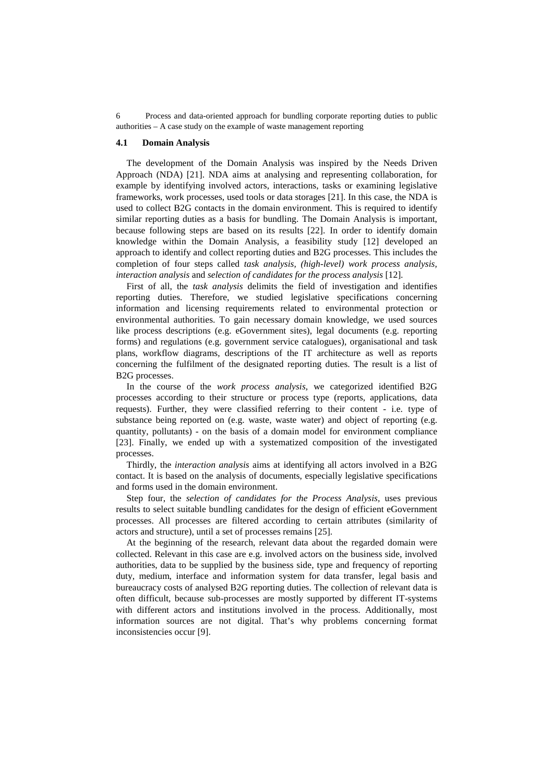#### **4.1 Domain Analysis**

The development of the Domain Analysis was inspired by the Needs Driven Approach (NDA) [21]. NDA aims at analysing and representing collaboration, for example by identifying involved actors, interactions, tasks or examining legislative frameworks, work processes, used tools or data storages [21]. In this case, the NDA is used to collect B2G contacts in the domain environment. This is required to identify similar reporting duties as a basis for bundling. The Domain Analysis is important, because following steps are based on its results [22]. In order to identify domain knowledge within the Domain Analysis, a feasibility study [12] developed an approach to identify and collect reporting duties and B2G processes. This includes the completion of four steps called *task analysis, (high-level) work process analysis, interaction analysis* and *selection of candidates for the process analysis* [12]*.* 

First of all, the *task analysis* delimits the field of investigation and identifies reporting duties. Therefore, we studied legislative specifications concerning information and licensing requirements related to environmental protection or environmental authorities. To gain necessary domain knowledge, we used sources like process descriptions (e.g. eGovernment sites), legal documents (e.g. reporting forms) and regulations (e.g. government service catalogues), organisational and task plans, workflow diagrams, descriptions of the IT architecture as well as reports concerning the fulfilment of the designated reporting duties. The result is a list of B2G processes.

In the course of the *work process analysis,* we categorized identified B2G processes according to their structure or process type (reports, applications, data requests). Further, they were classified referring to their content - i.e. type of substance being reported on (e.g. waste, waste water) and object of reporting (e.g. quantity, pollutants) - on the basis of a domain model for environment compliance [23]. Finally, we ended up with a systematized composition of the investigated processes.

Thirdly, the *interaction analysis* aims at identifying all actors involved in a B2G contact. It is based on the analysis of documents, especially legislative specifications and forms used in the domain environment.

Step four, the *selection of candidates for the Process Analysis,* uses previous results to select suitable bundling candidates for the design of efficient eGovernment processes. All processes are filtered according to certain attributes (similarity of actors and structure), until a set of processes remains [25].

At the beginning of the research, relevant data about the regarded domain were collected. Relevant in this case are e.g. involved actors on the business side, involved authorities, data to be supplied by the business side, type and frequency of reporting duty, medium, interface and information system for data transfer, legal basis and bureaucracy costs of analysed B2G reporting duties. The collection of relevant data is often difficult, because sub-processes are mostly supported by different IT-systems with different actors and institutions involved in the process. Additionally, most information sources are not digital. That's why problems concerning format inconsistencies occur [9].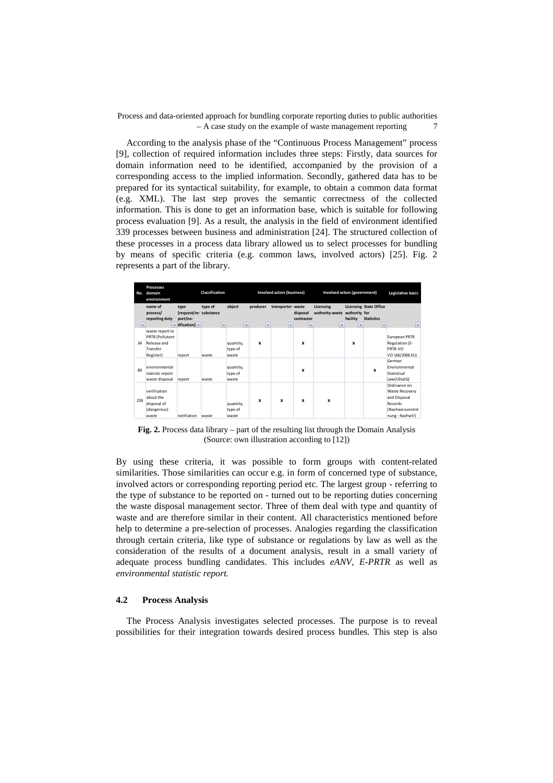According to the analysis phase of the "Continuous Process Management" process [9], collection of required information includes three steps: Firstly, data sources for domain information need to be identified, accompanied by the provision of a corresponding access to the implied information. Secondly, gathered data has to be prepared for its syntactical suitability, for example, to obtain a common data format (e.g. XML). The last step proves the semantic correctness of the collected information. This is done to get an information base, which is suitable for following process evaluation [9]. As a result, the analysis in the field of environment identified 339 processes between business and administration [24]. The structured collection of these processes in a process data library allowed us to select processes for bundling by means of specific criteria (e.g. common laws, involved actors) [25]. Fig. 2 represents a part of the library.

|                         | Processes<br>No. domain<br>environment                                     |                                                                                    | Classification            |                               | <b>Involved actors (business)</b> |                                         |                                                | Involved actors (government)                    |               |                                                         | Legislative basis                                                                              |
|-------------------------|----------------------------------------------------------------------------|------------------------------------------------------------------------------------|---------------------------|-------------------------------|-----------------------------------|-----------------------------------------|------------------------------------------------|-------------------------------------------------|---------------|---------------------------------------------------------|------------------------------------------------------------------------------------------------|
| $\overline{\mathbf{v}}$ | name of<br>process/<br>reporting duty                                      | type<br>(request/re-substance<br>port/no-<br>$\mathbf{v}$ tification) $\mathbf{v}$ | type of<br>$ \mathbf{v} $ | object<br>▼                   | producer<br>⋤                     | transporter waste<br>$\bar{\mathbf{v}}$ | disposal<br>contractor<br>$\blacktriangledown$ | Licensing<br>authority waste authority for<br>× | facility<br>÷ | <b>Licensing State Office</b><br><b>Statistics</b><br>× | ⋤                                                                                              |
| 34                      | waste report to<br>PRTR (Pollutant<br>Release and<br>Transfer<br>Register) | report                                                                             | waste                     | quantity,<br>type of<br>waste | $\mathbf{x}$                      |                                         | x                                              |                                                 | x             |                                                         | European PRTR<br>Regulation (E-<br>PRTR-VO<br>VO 166/2006 EU)                                  |
| 89                      | environmental<br>statistic report<br>waste disposal                        | report                                                                             | waste                     | quantity,<br>type of<br>waste |                                   |                                         | x                                              |                                                 |               | x                                                       | German<br>Fnvironmental<br>Statistical<br>Law(UStatG)                                          |
| 239                     | verification<br>about the<br>disposal of<br>(dangerous)<br>waste           | notifiation                                                                        | waste                     | quantity,<br>type of<br>waste | x                                 | x                                       | $\mathbf{x}$                                   | x                                               |               |                                                         | Ordinance on<br>Waste Recovery<br>and Disposal<br>Records<br>(Nachweisverord<br>nung - NachwV) |

**Fig. 2.** Process data library – part of the resulting list through the Domain Analysis (Source: own illustration according to [12])

By using these criteria, it was possible to form groups with content-related similarities. Those similarities can occur e.g. in form of concerned type of substance, involved actors or corresponding reporting period etc. The largest group - referring to the type of substance to be reported on - turned out to be reporting duties concerning the waste disposal management sector. Three of them deal with type and quantity of waste and are therefore similar in their content. All characteristics mentioned before help to determine a pre-selection of processes. Analogies regarding the classification through certain criteria, like type of substance or regulations by law as well as the consideration of the results of a document analysis, result in a small variety of adequate process bundling candidates. This includes *eANV, E-PRTR* as well as *environmental statistic report.* 

### **4.2 Process Analysis**

The Process Analysis investigates selected processes. The purpose is to reveal possibilities for their integration towards desired process bundles. This step is also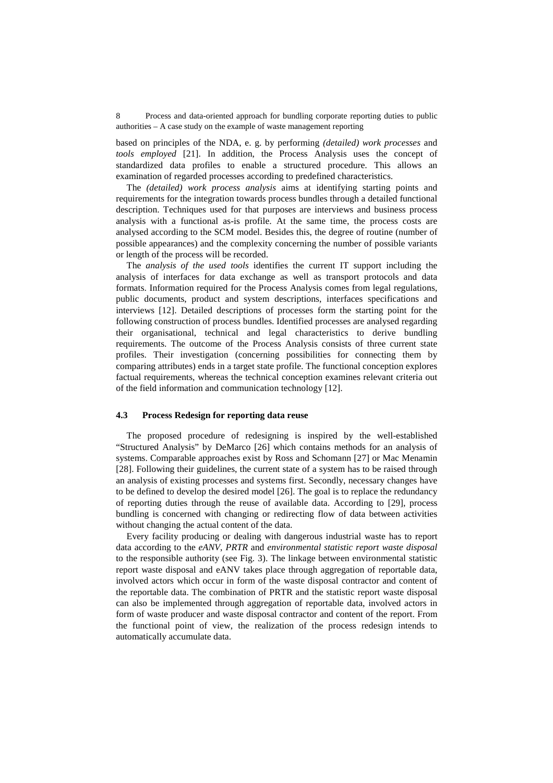based on principles of the NDA, e. g. by performing *(detailed) work processes* and *tools employed* [21]. In addition, the Process Analysis uses the concept of standardized data profiles to enable a structured procedure. This allows an examination of regarded processes according to predefined characteristics.

The *(detailed) work process analysis* aims at identifying starting points and requirements for the integration towards process bundles through a detailed functional description. Techniques used for that purposes are interviews and business process analysis with a functional as-is profile. At the same time, the process costs are analysed according to the SCM model. Besides this, the degree of routine (number of possible appearances) and the complexity concerning the number of possible variants or length of the process will be recorded.

The *analysis of the used tools* identifies the current IT support including the analysis of interfaces for data exchange as well as transport protocols and data formats. Information required for the Process Analysis comes from legal regulations, public documents, product and system descriptions, interfaces specifications and interviews [12]. Detailed descriptions of processes form the starting point for the following construction of process bundles. Identified processes are analysed regarding their organisational, technical and legal characteristics to derive bundling requirements. The outcome of the Process Analysis consists of three current state profiles. Their investigation (concerning possibilities for connecting them by comparing attributes) ends in a target state profile. The functional conception explores factual requirements, whereas the technical conception examines relevant criteria out of the field information and communication technology [12].

### **4.3 Process Redesign for reporting data reuse**

The proposed procedure of redesigning is inspired by the well-established "Structured Analysis" by DeMarco [26] which contains methods for an analysis of systems. Comparable approaches exist by Ross and Schomann [27] or Mac Menamin [28]. Following their guidelines, the current state of a system has to be raised through an analysis of existing processes and systems first. Secondly, necessary changes have to be defined to develop the desired model [26]. The goal is to replace the redundancy of reporting duties through the reuse of available data. According to [29], process bundling is concerned with changing or redirecting flow of data between activities without changing the actual content of the data.

Every facility producing or dealing with dangerous industrial waste has to report data according to the *eANV*, *PRTR* and *environmental statistic report waste disposal* to the responsible authority (see Fig. 3). The linkage between environmental statistic report waste disposal and eANV takes place through aggregation of reportable data, involved actors which occur in form of the waste disposal contractor and content of the reportable data. The combination of PRTR and the statistic report waste disposal can also be implemented through aggregation of reportable data, involved actors in form of waste producer and waste disposal contractor and content of the report. From the functional point of view, the realization of the process redesign intends to automatically accumulate data.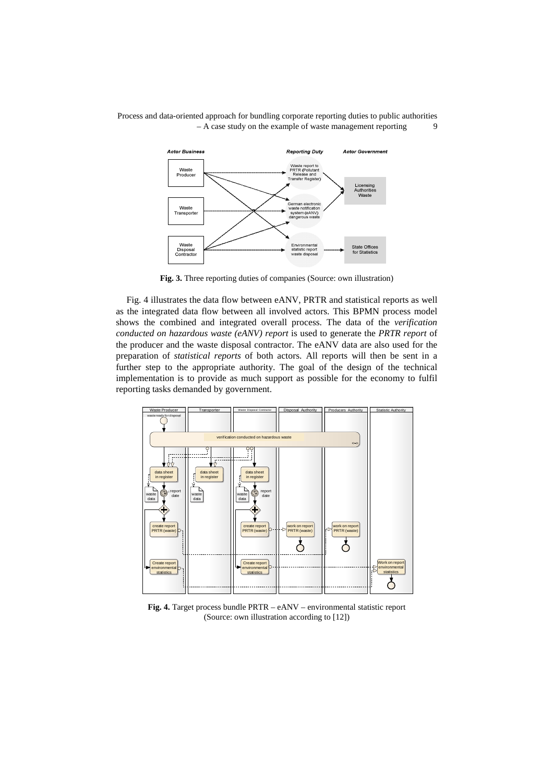

**Fig. 3.** Three reporting duties of companies (Source: own illustration)

Fig. 4 illustrates the data flow between eANV, PRTR and statistical reports as well as the integrated data flow between all involved actors. This BPMN process model shows the combined and integrated overall process. The data of the *verification conducted on hazardous waste (eANV) report* is used to generate the *PRTR report* of the producer and the waste disposal contractor. The eANV data are also used for the preparation of *statistical reports* of both actors. All reports will then be sent in a further step to the appropriate authority. The goal of the design of the technical implementation is to provide as much support as possible for the economy to fulfil reporting tasks demanded by government.



**Fig. 4.** Target process bundle PRTR – eANV – environmental statistic report (Source: own illustration according to [12])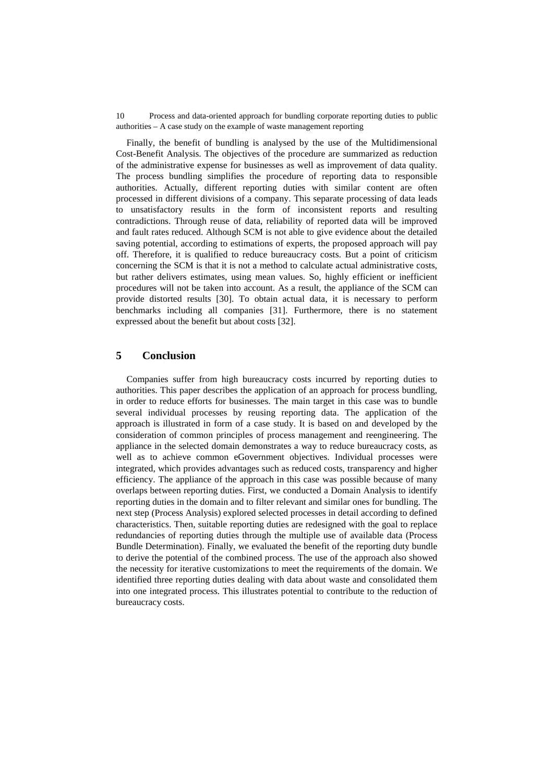Finally, the benefit of bundling is analysed by the use of the Multidimensional Cost-Benefit Analysis. The objectives of the procedure are summarized as reduction of the administrative expense for businesses as well as improvement of data quality. The process bundling simplifies the procedure of reporting data to responsible authorities. Actually, different reporting duties with similar content are often processed in different divisions of a company. This separate processing of data leads to unsatisfactory results in the form of inconsistent reports and resulting contradictions. Through reuse of data, reliability of reported data will be improved and fault rates reduced. Although SCM is not able to give evidence about the detailed saving potential, according to estimations of experts, the proposed approach will pay off. Therefore, it is qualified to reduce bureaucracy costs. But a point of criticism concerning the SCM is that it is not a method to calculate actual administrative costs, but rather delivers estimates, using mean values. So, highly efficient or inefficient procedures will not be taken into account. As a result, the appliance of the SCM can provide distorted results [30]. To obtain actual data, it is necessary to perform benchmarks including all companies [31]. Furthermore, there is no statement expressed about the benefit but about costs [32].

# **5 Conclusion**

Companies suffer from high bureaucracy costs incurred by reporting duties to authorities. This paper describes the application of an approach for process bundling, in order to reduce efforts for businesses. The main target in this case was to bundle several individual processes by reusing reporting data. The application of the approach is illustrated in form of a case study. It is based on and developed by the consideration of common principles of process management and reengineering. The appliance in the selected domain demonstrates a way to reduce bureaucracy costs, as well as to achieve common eGovernment objectives. Individual processes were integrated, which provides advantages such as reduced costs, transparency and higher efficiency. The appliance of the approach in this case was possible because of many overlaps between reporting duties. First, we conducted a Domain Analysis to identify reporting duties in the domain and to filter relevant and similar ones for bundling. The next step (Process Analysis) explored selected processes in detail according to defined characteristics. Then, suitable reporting duties are redesigned with the goal to replace redundancies of reporting duties through the multiple use of available data (Process Bundle Determination). Finally, we evaluated the benefit of the reporting duty bundle to derive the potential of the combined process. The use of the approach also showed the necessity for iterative customizations to meet the requirements of the domain. We identified three reporting duties dealing with data about waste and consolidated them into one integrated process. This illustrates potential to contribute to the reduction of bureaucracy costs.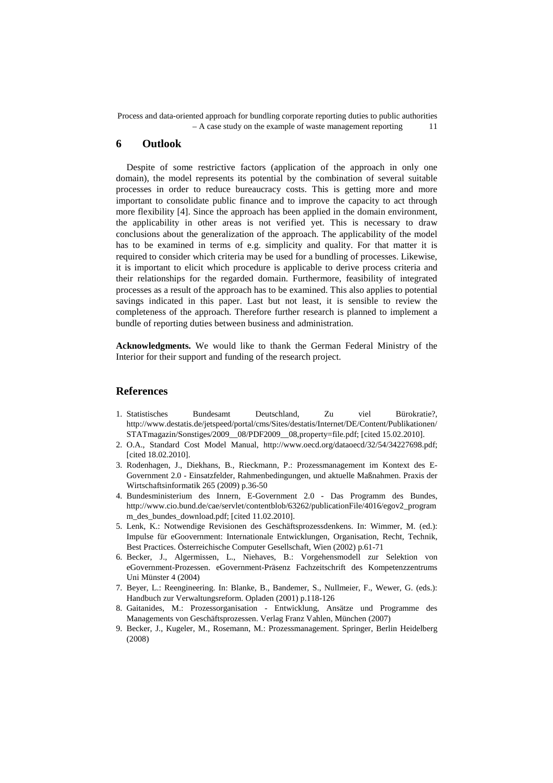### **6 Outlook**

Despite of some restrictive factors (application of the approach in only one domain), the model represents its potential by the combination of several suitable processes in order to reduce bureaucracy costs. This is getting more and more important to consolidate public finance and to improve the capacity to act through more flexibility [4]. Since the approach has been applied in the domain environment, the applicability in other areas is not verified yet. This is necessary to draw conclusions about the generalization of the approach. The applicability of the model has to be examined in terms of e.g. simplicity and quality. For that matter it is required to consider which criteria may be used for a bundling of processes. Likewise, it is important to elicit which procedure is applicable to derive process criteria and their relationships for the regarded domain. Furthermore, feasibility of integrated processes as a result of the approach has to be examined. This also applies to potential savings indicated in this paper. Last but not least, it is sensible to review the completeness of the approach. Therefore further research is planned to implement a bundle of reporting duties between business and administration.

**Acknowledgments.** We would like to thank the German Federal Ministry of the Interior for their support and funding of the research project.

### **References**

- 1. Statistisches Bundesamt Deutschland, Zu viel Bürokratie?, http://www.destatis.de/jetspeed/portal/cms/Sites/destatis/Internet/DE/Content/Publikationen/ STATmagazin/Sonstiges/2009\_\_08/PDF2009\_\_08,property=file.pdf; [cited 15.02.2010].
- 2. O.A., Standard Cost Model Manual, http://www.oecd.org/dataoecd/32/54/34227698.pdf; [cited 18.02.2010].
- 3. Rodenhagen, J., Diekhans, B., Rieckmann, P.: Prozessmanagement im Kontext des E-Government 2.0 - Einsatzfelder, Rahmenbedingungen, und aktuelle Maßnahmen. Praxis der Wirtschaftsinformatik 265 (2009) p.36-50
- 4. Bundesministerium des Innern, E-Government 2.0 Das Programm des Bundes, http://www.cio.bund.de/cae/servlet/contentblob/63262/publicationFile/4016/egov2\_program m\_des\_bundes\_download.pdf; [cited 11.02.2010].
- 5. Lenk, K.: Notwendige Revisionen des Geschäftsprozessdenkens. In: Wimmer, M. (ed.): Impulse für eGoovernment: Internationale Entwicklungen, Organisation, Recht, Technik, Best Practices. Österreichische Computer Gesellschaft, Wien (2002) p.61-71
- 6. Becker, J., Algermissen, L., Niehaves, B.: Vorgehensmodell zur Selektion von eGovernment-Prozessen. eGovernment-Präsenz Fachzeitschrift des Kompetenzzentrums Uni Münster 4 (2004)
- 7. Beyer, L.: Reengineering. In: Blanke, B., Bandemer, S., Nullmeier, F., Wewer, G. (eds.): Handbuch zur Verwaltungsreform. Opladen (2001) p.118-126
- 8. Gaitanides, M.: Prozessorganisation Entwicklung, Ansätze und Programme des Managements von Geschäftsprozessen. Verlag Franz Vahlen, München (2007)
- 9. Becker, J., Kugeler, M., Rosemann, M.: Prozessmanagement. Springer, Berlin Heidelberg (2008)